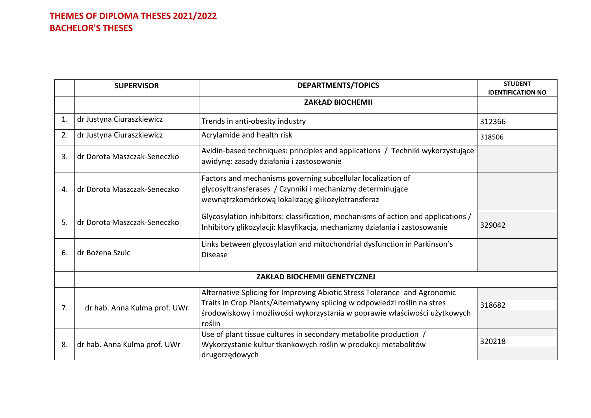|                | <b>SUPERVISOR</b>                   | <b>DEPARTMENTS/TOPICS</b>                                                                                                                                                                                                                    | <b>STUDENT</b><br><b>IDENTIFICATION NO</b> |
|----------------|-------------------------------------|----------------------------------------------------------------------------------------------------------------------------------------------------------------------------------------------------------------------------------------------|--------------------------------------------|
|                |                                     | <b>ZAKŁAD BIOCHEMII</b>                                                                                                                                                                                                                      |                                            |
| $\mathbf{1}$ . | dr Justyna Ciuraszkiewicz           | Trends in anti-obesity industry                                                                                                                                                                                                              | 312366                                     |
| 2.             | dr Justyna Ciuraszkiewicz           | Acrylamide and health risk                                                                                                                                                                                                                   | 318506                                     |
| 3.             | dr Dorota Maszczak-Seneczko         | Avidin-based techniques: principles and applications / Techniki wykorzystujące<br>awidynę: zasady działania i zastosowanie                                                                                                                   |                                            |
| 4.             | dr Dorota Maszczak-Seneczko         | Factors and mechanisms governing subcellular localization of<br>glycosyltransferases / Czynniki i mechanizmy determinujące<br>wewnątrzkomórkową lokalizację glikozylotransferaz                                                              |                                            |
| 5.             | dr Dorota Maszczak-Seneczko         | Glycosylation inhibitors: classification, mechanisms of action and applications /<br>Inhibitory glikozylacji: klasyfikacja, mechanizmy działania i zastosowanie                                                                              | 329042                                     |
| 6.             | dr Bożena Szulc                     | Links between glycosylation and mitochondrial dysfunction in Parkinson's<br><b>Disease</b>                                                                                                                                                   |                                            |
|                | <b>ZAKŁAD BIOCHEMII GENETYCZNEJ</b> |                                                                                                                                                                                                                                              |                                            |
| 7.             | dr hab. Anna Kulma prof. UWr        | Alternative Splicing for Improving Abiotic Stress Tolerance and Agronomic<br>Traits in Crop Plants/Alternatywny splicing w odpowiedzi roślin na stres<br>środowiskowy i możliwości wykorzystania w poprawie właściwości użytkowych<br>roślin | 318682                                     |
| 8.             | dr hab. Anna Kulma prof. UWr        | Use of plant tissue cultures in secondary metabolite production /<br>Wykorzystanie kultur tkankowych roślin w produkcji metabolitów<br>drugorzędowych                                                                                        | 320218                                     |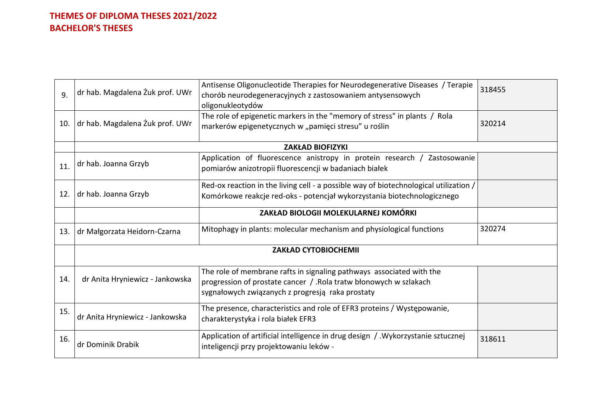| dr hab. Magdalena Żuk prof. UWr | Antisense Oligonucleotide Therapies for Neurodegenerative Diseases / Terapie<br>chorób neurodegeneracyjnych z zastosowaniem antysensowych<br>oligonukleotydów                                  | 318455 |
|---------------------------------|------------------------------------------------------------------------------------------------------------------------------------------------------------------------------------------------|--------|
| dr hab. Magdalena Żuk prof. UWr | The role of epigenetic markers in the "memory of stress" in plants / Rola<br>markerów epigenetycznych w "pamięci stresu" u roślin                                                              | 320214 |
|                                 | <b>ZAKŁAD BIOFIZYKI</b>                                                                                                                                                                        |        |
| dr hab. Joanna Grzyb            | Application of fluorescence anistropy in protein research / Zastosowanie<br>pomiarów anizotropii fluorescencji w badaniach białek                                                              |        |
| dr hab. Joanna Grzyb            | Red-ox reaction in the living cell - a possible way of biotechnological utilization /<br>Komórkowe reakcje red-oks - potencjał wykorzystania biotechnologicznego                               |        |
|                                 | ZAKŁAD BIOLOGII MOLEKULARNEJ KOMÓRKI                                                                                                                                                           |        |
| dr Małgorzata Heidorn-Czarna    | Mitophagy in plants: molecular mechanism and physiological functions                                                                                                                           | 320274 |
| <b>ZAKŁAD CYTOBIOCHEMII</b>     |                                                                                                                                                                                                |        |
| dr Anita Hryniewicz - Jankowska | The role of membrane rafts in signaling pathways associated with the<br>progression of prostate cancer / . Rola tratw błonowych w szlakach<br>sygnałowych związanych z progresją raka prostaty |        |
| dr Anita Hryniewicz - Jankowska | The presence, characteristics and role of EFR3 proteins / Występowanie,<br>charakterystyka i rola białek EFR3                                                                                  |        |
| dr Dominik Drabik               | Application of artificial intelligence in drug design / . Wykorzystanie sztucznej<br>inteligencji przy projektowaniu leków -                                                                   | 318611 |
|                                 |                                                                                                                                                                                                |        |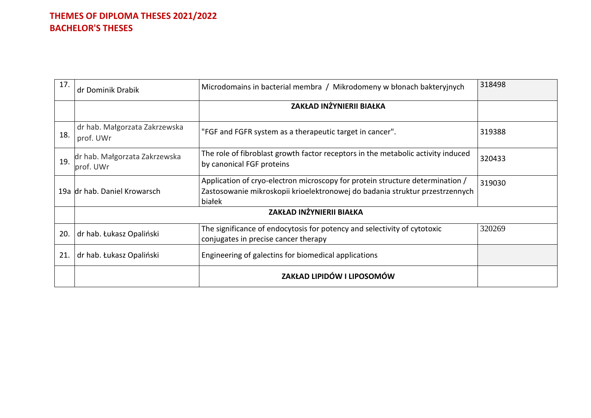| 17. | dr Dominik Drabik                          | Microdomains in bacterial membra / Mikrodomeny w błonach bakteryjnych                                                                                                   | 318498 |  |
|-----|--------------------------------------------|-------------------------------------------------------------------------------------------------------------------------------------------------------------------------|--------|--|
|     |                                            | ZAKŁAD INŻYNIERII BIAŁKA                                                                                                                                                |        |  |
| 18. | dr hab. Małgorzata Zakrzewska<br>prof. UWr | "FGF and FGFR system as a therapeutic target in cancer".                                                                                                                | 319388 |  |
| 19. | dr hab. Małgorzata Zakrzewska<br>prof. UWr | The role of fibroblast growth factor receptors in the metabolic activity induced<br>by canonical FGF proteins                                                           | 320433 |  |
|     | 19a dr hab. Daniel Krowarsch               | Application of cryo-electron microscopy for protein structure determination /<br>Zastosowanie mikroskopii krioelektronowej do badania struktur przestrzennych<br>białek | 319030 |  |
|     | ZAKŁAD INŻYNIERII BIAŁKA                   |                                                                                                                                                                         |        |  |
| 20. | dr hab. Łukasz Opaliński                   | The significance of endocytosis for potency and selectivity of cytotoxic<br>conjugates in precise cancer therapy                                                        | 320269 |  |
| 21. | dr hab. Łukasz Opaliński                   | Engineering of galectins for biomedical applications                                                                                                                    |        |  |
|     |                                            | ZAKŁAD LIPIDÓW I LIPOSOMÓW                                                                                                                                              |        |  |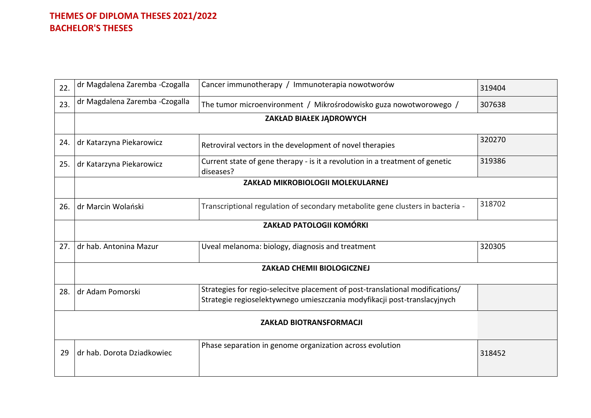| 22. | dr Magdalena Zaremba - Czogalla          | Cancer immunotherapy / Immunoterapia nowotworów                                                                                                           | 319404 |  |  |
|-----|------------------------------------------|-----------------------------------------------------------------------------------------------------------------------------------------------------------|--------|--|--|
| 23. | dr Magdalena Zaremba - Czogalla          | The tumor microenvironment / Mikrośrodowisko guza nowotworowego /                                                                                         | 307638 |  |  |
|     | ZAKŁAD BIAŁEK JĄDROWYCH                  |                                                                                                                                                           |        |  |  |
| 24. | dr Katarzyna Piekarowicz                 | Retroviral vectors in the development of novel therapies                                                                                                  | 320270 |  |  |
| 25. | dr Katarzyna Piekarowicz                 | Current state of gene therapy - is it a revolution in a treatment of genetic<br>diseases?                                                                 | 319386 |  |  |
|     | <b>ZAKŁAD MIKROBIOLOGII MOLEKULARNEJ</b> |                                                                                                                                                           |        |  |  |
| 26. | dr Marcin Wolański                       | Transcriptional regulation of secondary metabolite gene clusters in bacteria -                                                                            | 318702 |  |  |
|     | <b>ZAKŁAD PATOLOGII KOMÓRKI</b>          |                                                                                                                                                           |        |  |  |
| 27. | dr hab. Antonina Mazur                   | Uveal melanoma: biology, diagnosis and treatment                                                                                                          | 320305 |  |  |
|     | ZAKŁAD CHEMII BIOLOGICZNEJ               |                                                                                                                                                           |        |  |  |
| 28. | dr Adam Pomorski                         | Strategies for regio-selecitve placement of post-translational modifications/<br>Strategie regioselektywnego umieszczania modyfikacji post-translacyjnych |        |  |  |
|     | <b>ZAKŁAD BIOTRANSFORMACJI</b>           |                                                                                                                                                           |        |  |  |
| 29  | dr hab. Dorota Dziadkowiec               | Phase separation in genome organization across evolution                                                                                                  | 318452 |  |  |
|     |                                          |                                                                                                                                                           |        |  |  |